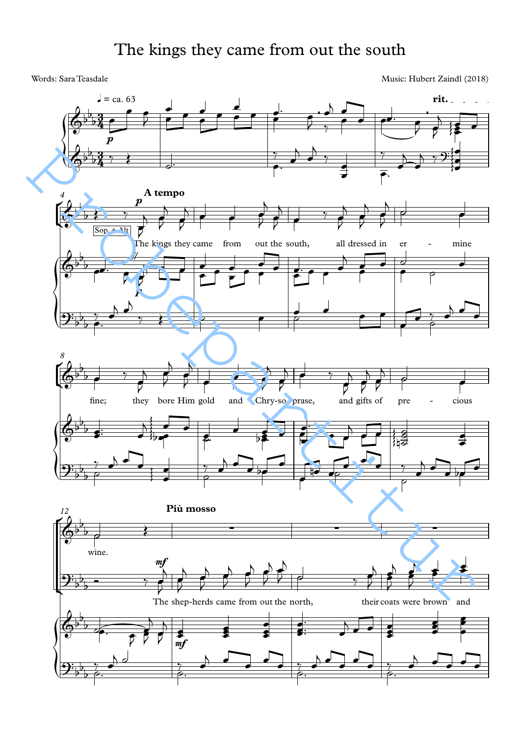## The kings they came from out the south

Words: Sara Teasdale Music: Hubert Zaindl (2018)

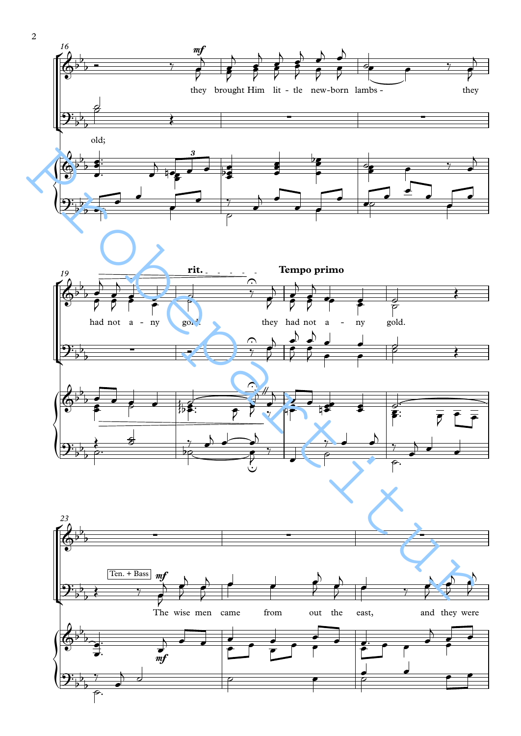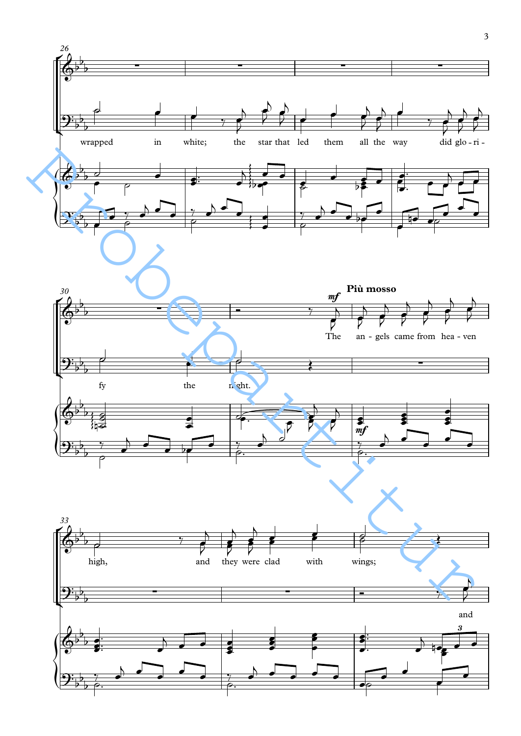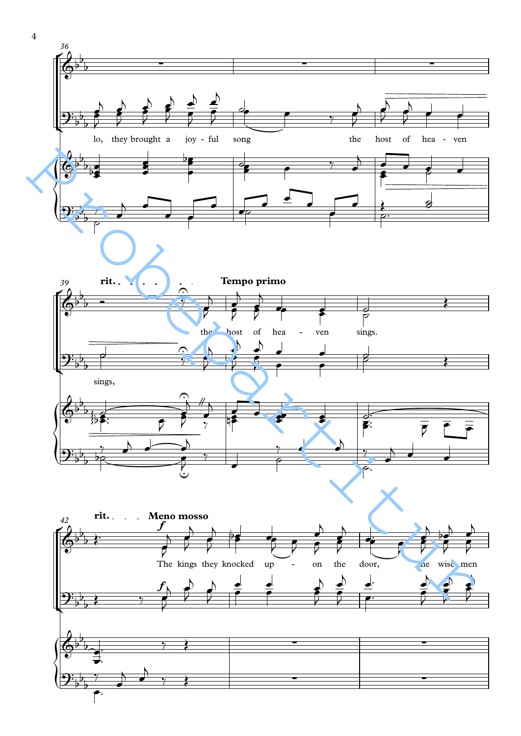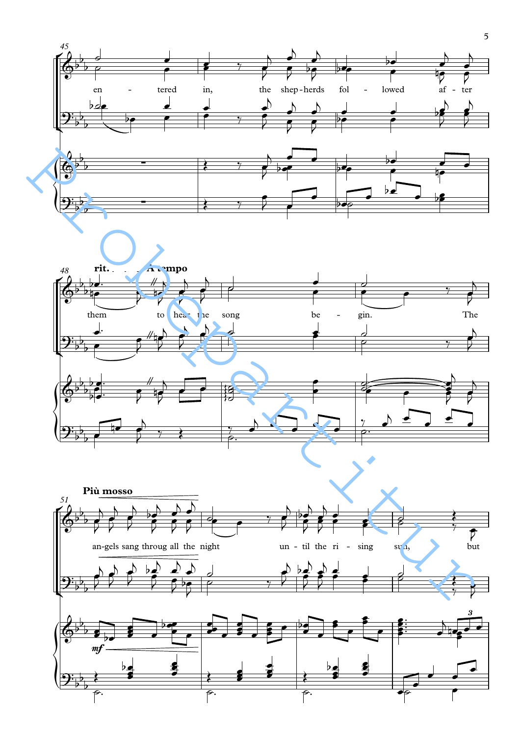